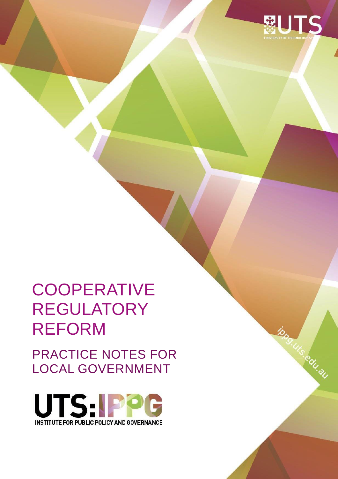

ipperus eduqu

# **COOPERATIVE** REGULATORY REFORM

PRACTICE NOTES FOR LOCAL GOVERNMENT

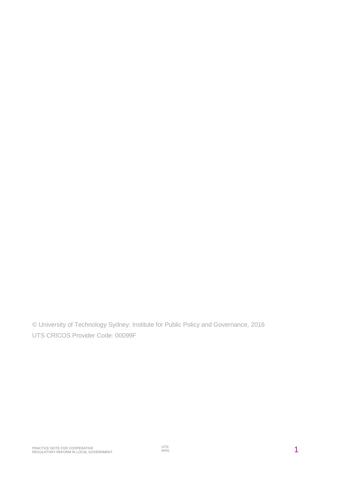© University of Technology Sydney: Institute for Public Policy and Governance, 2016 UTS CRICOS Provider Code: 00099F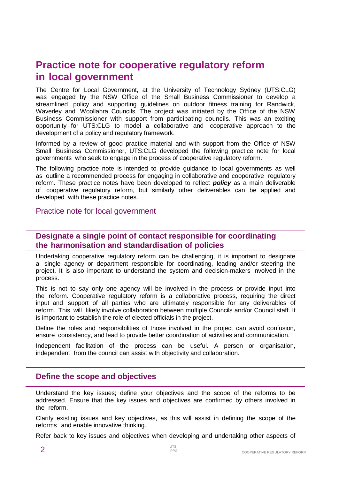## **Practice note for cooperative regulatory reform in local government**

The Centre for Local Government, at the University of Technology Sydney (UTS:CLG) was engaged by the NSW Office of the Small Business Commissioner to develop a streamlined policy and supporting guidelines on outdoor fitness training for Randwick, Waverley and Woollahra Councils. The project was initiated by the Office of the NSW Business Commissioner with support from participating councils. This was an exciting opportunity for UTS:CLG to model a collaborative and cooperative approach to the development of a policy and regulatory framework.

Informed by a review of good practice material and with support from the Office of NSW Small Business Commissioner, UTS:CLG developed the following practice note for local governments who seek to engage in the process of cooperative regulatory reform.

The following practice note is intended to provide guidance to local governments as well as outline a recommended process for engaging in collaborative and cooperative regulatory reform. These practice notes have been developed to reflect *policy* as a main deliverable of cooperative regulatory reform, but similarly other deliverables can be applied and developed with these practice notes.

Practice note for local government

#### **Designate a single point of contact responsible for coordinating the harmonisation and standardisation of policies**

Undertaking cooperative regulatory reform can be challenging, it is important to designate a single agency or department responsible for coordinating, leading and/or steering the project. It is also important to understand the system and decision-makers involved in the process.

This is not to say only one agency will be involved in the process or provide input into the reform. Cooperative regulatory reform is a collaborative process, requiring the direct input and support of all parties who are ultimately responsible for any deliverables of reform. This will likely involve collaboration between multiple Councils and/or Council staff. It is important to establish the role of elected officials in the project.

Define the roles and responsibilities of those involved in the project can avoid confusion, ensure consistency, and lead to provide better coordination of activities and communication.

Independent facilitation of the process can be useful. A person or organisation, independent from the council can assist with objectivity and collaboration.

#### **Define the scope and objectives**

Understand the key issues; define your objectives and the scope of the reforms to be addressed. Ensure that the key issues and objectives are confirmed by others involved in the reform.

Clarify existing issues and key objectives, as this will assist in defining the scope of the reforms and enable innovative thinking.

Refer back to key issues and objectives when developing and undertaking other aspects of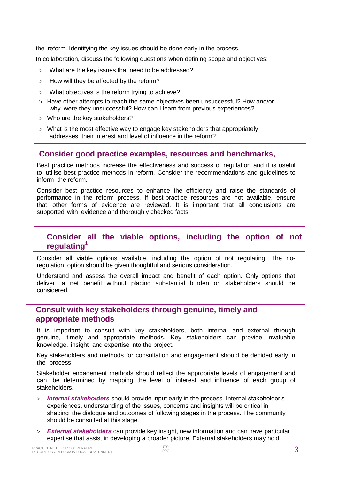the reform. Identifying the key issues should be done early in the process.

In collaboration, discuss the following questions when defining scope and objectives:

- What are the key issues that need to be addressed?
- $>$  How will they be affected by the reform?
- What objectives is the reform trying to achieve?
- $>$  Have other attempts to reach the same objectives been unsuccessful? How and/or why were they unsuccessful? How can I learn from previous experiences?
- Who are the key stakeholders?
- What is the most effective way to engage key stakeholders that appropriately addresses their interest and level of influence in the reform?

#### **Consider good practice examples, resources and benchmarks,**

Best practice methods increase the effectiveness and success of regulation and it is useful to utilise best practice methods in reform. Consider the recommendations and guidelines to inform the reform.

Consider best practice resources to enhance the efficiency and raise the standards of performance in the reform process. If best-practice resources are not available, ensure that other forms of evidence are reviewed. It is important that all conclusions are supported with evidence and thoroughly checked facts.

#### **Consider all the viable options, including the option of not regulating<sup>1</sup>**

Consider all viable options available, including the option of not regulating. The noregulation option should be given thoughtful and serious consideration.

Understand and assess the overall impact and benefit of each option. Only options that deliver a net benefit without placing substantial burden on stakeholders should be considered.

#### **Consult with key stakeholders through genuine, timely and appropriate methods**

It is important to consult with key stakeholders, both internal and external through genuine, timely and appropriate methods. Key stakeholders can provide invaluable knowledge, insight and expertise into the project.

Key stakeholders and methods for consultation and engagement should be decided early in the process.

Stakeholder engagement methods should reflect the appropriate levels of engagement and can be determined by mapping the level of interest and influence of each group of stakeholders.

- *Internal stakeholders* should provide input early in the process. Internal stakeholder's experiences, understanding of the issues, concerns and insights will be critical in shaping the dialogue and outcomes of following stages in the process. The community should be consulted at this stage.
- *External stakeholders* can provide key insight, new information and can have particular expertise that assist in developing a broader picture. External stakeholders may hold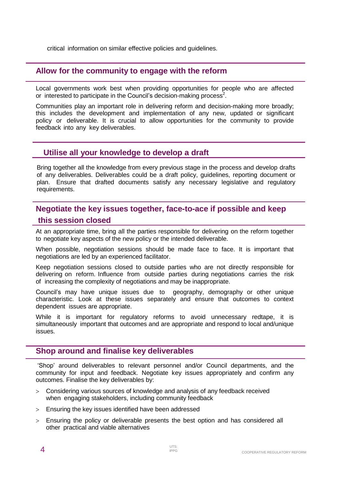critical information on similar effective policies and guidelines.

#### **Allow for the community to engage with the reform**

Local governments work best when providing opportunities for people who are affected or interested to participate in the Council's decision-making process<sup>2</sup>.

Communities play an important role in delivering reform and decision-making more broadly; this includes the development and implementation of any new, updated or significant policy or deliverable. It is crucial to allow opportunities for the community to provide feedback into any key deliverables.

#### **Utilise all your knowledge to develop a draft**

Bring together all the knowledge from every previous stage in the process and develop drafts of any deliverables. Deliverables could be a draft policy, guidelines, reporting document or plan. Ensure that drafted documents satisfy any necessary legislative and regulatory requirements.

### **Negotiate the key issues together, face-to-ace if possible and keep this session closed**

At an appropriate time, bring all the parties responsible for delivering on the reform together to negotiate key aspects of the new policy or the intended deliverable.

When possible, negotiation sessions should be made face to face. It is important that negotiations are led by an experienced facilitator.

Keep negotiation sessions closed to outside parties who are not directly responsible for delivering on reform. Influence from outside parties during negotiations carries the risk of increasing the complexity of negotiations and may be inappropriate.

Council's may have unique issues due to geography, demography or other unique characteristic. Look at these issues separately and ensure that outcomes to context dependent issues are appropriate.

While it is important for regulatory reforms to avoid unnecessary redtape, it is simultaneously important that outcomes and are appropriate and respond to local and/unique issues.

#### **Shop around and finalise key deliverables**

'Shop' around deliverables to relevant personnel and/or Council departments, and the community for input and feedback. Negotiate key issues appropriately and confirm any outcomes. Finalise the key deliverables by:

- Considering various sources of knowledge and analysis of any feedback received when engaging stakeholders, including community feedback
- Ensuring the key issues identified have been addressed
- Ensuring the policy or deliverable presents the best option and has considered all other practical and viable alternatives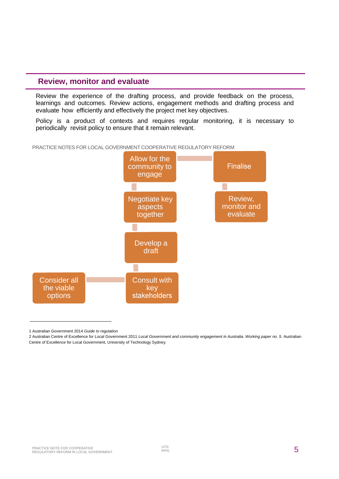#### **Review, monitor and evaluate**

Review the experience of the drafting process, and provide feedback on the process, learnings and outcomes. Review actions, engagement methods and drafting process and evaluate how efficiently and effectively the project met key objectives.

Policy is a product of contexts and requires regular monitoring, it is necessary to periodically revisit policy to ensure that it remain relevant.



PRACTICE NOTES FOR LOCAL GOVERNMENT COOPERATIVE REGULATORY REFORM

<sup>1</sup> Australian Government 2014 *Guide to regulation*

<sup>2</sup> Australian Centre of Excellence for Local Government 2011 Local Government and community engagement in Australia. Working paper no. 5. Australian Centre of Excellence for Local Government, University of Technology Sydney.